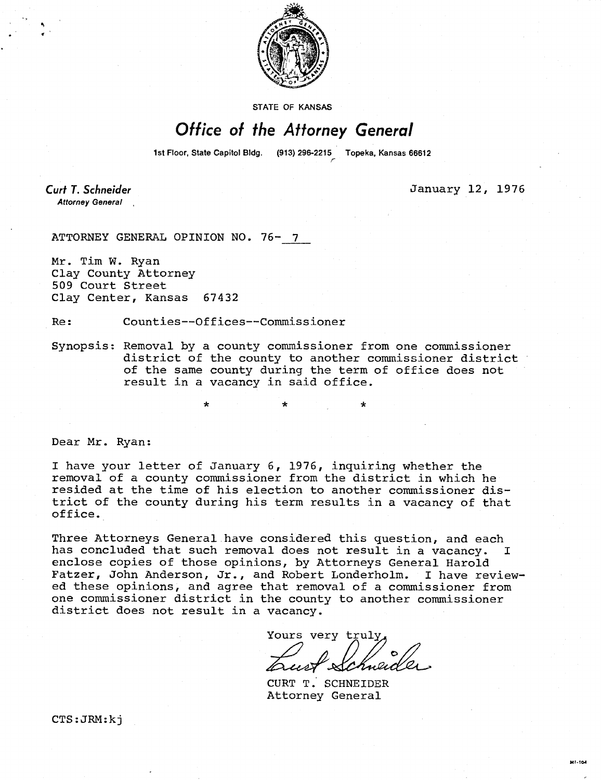

STATE OF KANSAS

### Office of the Attorney General

1st Floor, State Capitol Bldg. (913) 296-2215 Topeka, Kansas 66612

Curt T. Schneider **Attorney General**  January 12, 1976

ATTORNEY GENERAL OPINION NO. 76- 7

Mr. Tim W. Ryan Clay County Attorney 509 Court Street Clay Center, Kansas 67432

Re: Counties--Offices--Commissioner

\*

Synopsis: Removal by a county commissioner from one commissioner district of the county to another commissioner district of the same county during the term of office does not result in a vacancy in said office.

Dear Mr. Ryan:

I have your letter of January 6, 1976, inquiring whether the removal of a county commissioner from the district in which he resided at the time of his election to another commissioner district of the county during his term results in a vacancy of that office.

Three Attorneys General have considered this question, and each has concluded that such removal does not result in a vacancy. I enclose copies of those opinions, by Attorneys General Harold Fatzer, John Anderson, Jr., and Robert Londerholm. I have reviewed these opinions, and agree that removal of a commissioner from one commissioner district in the county to another commissioner district does not result in a vacancy.

Yours very truly Eneic

CURT T. SCHNEIDER Attorney General

CTS:JRM:kj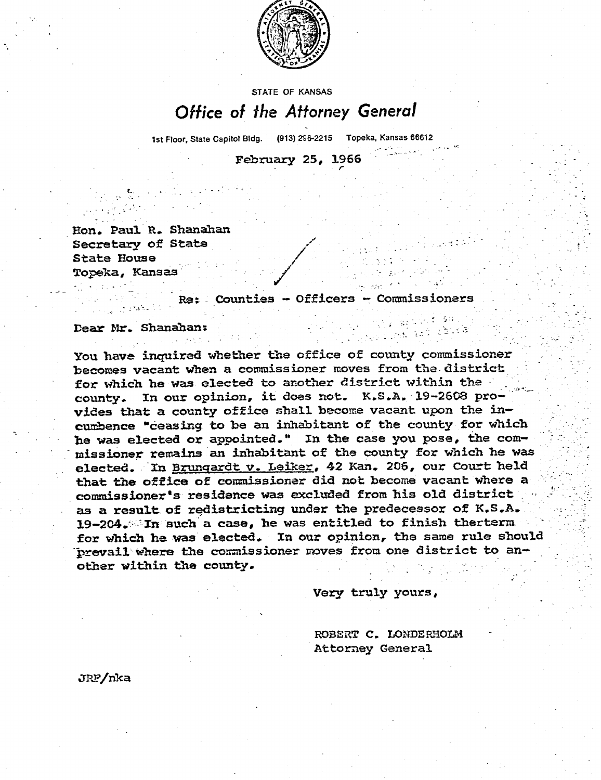

## STATE OF KANSAS Office of the Attorney General

1st Floor, State Capitol Bldg. (913) 296-2215 Topeka, Kansas 66612

February 25, 1966

**Paul R. Shanahan Secretary of State State House Topeka, Kansas\*** 

**Re: Counties - Officers Commissioners** 

**Dear Mr. Shanahan:** 

**You have inquired whether the office of county commissioner becomes vacant when a commissioner moves from the- district for which he was elected to another district within the county. In our opinion, it does not. K.S.A. 19-2608 provides that a county office shall become vacant upon the incumbence "ceasing to be an inhabitant of the county for which he was elected or appointed." In the case you pose, the commissioner remains an inhabitant of the county for which he was elected. In Brungardt v. Leiker,42 Kan. 206, our Court held that the office of commissioner did not become vacant where a commissioner's residence was excluded from his old district as a result of redistricting undopinionor of K.S.A.**  19-204. In such a case, he was entitled to finish therterm for which he was elected. In our opinion, the same rule should prevail where the commissioner moves from one district to an**other within the county.** 

**Very truly yours,** 

ROBERT C. LONDERHOLM **Attorney General** 

**3P,FinkJRF/nka**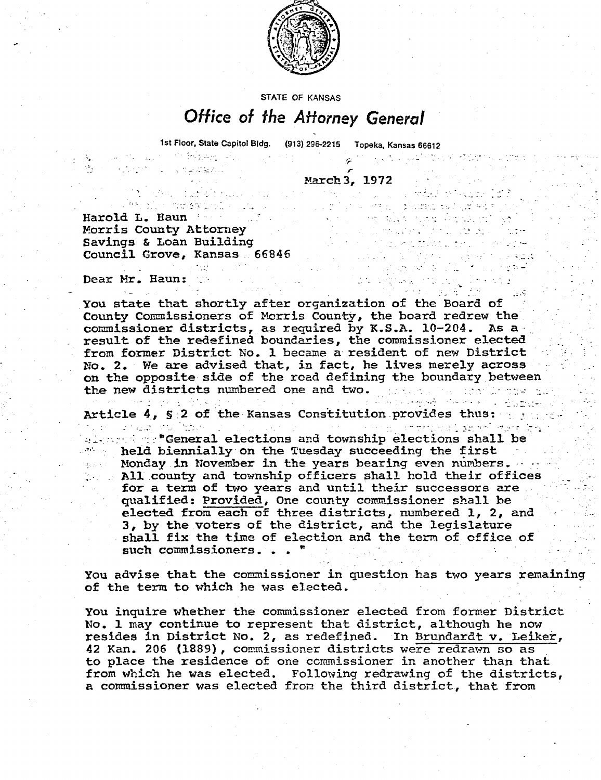

STATE OF KANSAS

# Office of the Attorney General

1st Floor, State Capitol Bldg. (913) 296-2215 Topeka, Kansas 66612 All the control of the property of the control

 $\label{eq:3.1} \mathcal{L}_{\mathcal{A}}(\mathcal{A},\mathcal{A})=\mathcal{L}_{\mathcal{A}}(\mathcal{A}^{\prime\prime},\mathcal{A}^{\prime\prime})\in\mathcal{L}_{\mathcal{A}}(\mathcal{A}^{\prime\prime},\mathcal{A}^{\prime\prime}).$ 

a strange was a <del>vil</del>le them in the

a sa mga mga kalendar ng mga mga mga ka

e de la contrada de la contrada de la contrada<br>Alguna de la consegue de la contrada de la contra

en journalist (\* 1920)<br>1900 - Johann Barnett, skilder fransk kapist<br>1900 - John Barnett, skilder fransk kapist

March 3, 1972

profession and complete the second control of the second control of the Haundre Haundre Haundre Haundre Haundr<br>Barold L. Haundre Haundre Haundre Haundre Haundre Haundre Haundre Haundre Haundre Haundre Haundre Haundre Haun Morris County Attorney Savings & Loan Building Council Grove, Kansas 66846

 $\mathbb{Z}^{\mathcal{M}}_{\mathcal{M}}\in\mathbb{C}$  . The contribution

s en la provincia de la margareta

Dear Mr. Haun:

 $\mathcal{O}(\log n)$  . 电子工作

You state that shortly after organization of the Board of County Commissioners of Morris County, the board redrew the commissioner districts, as required by **K.S.A.** 10-204. As a result of the redefined boundaries, the commissioner elected from former District No. 1 became a resident of new District No. 2. We are advised that, in fact, he lives merely across on the opposite side of the road defining the boundary between the new districts numbered one and two. The second model was

Article 4, §:2 of the Kansas Constitution provides thus: 1989 1989

 $\alpha$  . The "General elections and township elections shall be held biennially on the Tuesday succeeding the first Monday in November in the years bearing even numbers. All county and township officers shall hold their offices for a term of two years and until their successors are qualified: Provided, One county commissioner shall be elected from each of three districts, numbered 1, 2, and 3, by the voters of the district, and the legislature shall fix the time of election and the term of office of such commissioners...

You advise that the commissioner in question has two years remaining of the term to which he was elected.

You inquire whether the commissioner elected from former District No. 1 may continue to represent that district, although he now resides in District No. 2, as redefined. In Brundardt v. Leiker, 42 Kan. 206 (1889), commissioner districts were redrawn so as to place the residence of one commissioner in another than that from which he was elected. Following redrawing of the districts, a commissioner was elected from the third district, that from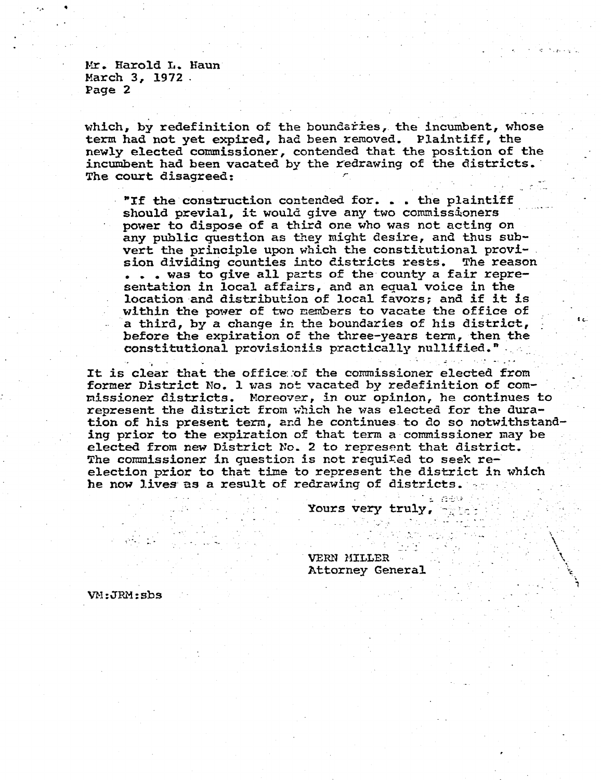Mr. Harold L. Haun March 3, 1972. Page 2

which, by redefinition of the boundaries, the incumbent, whose term had not yet expired, had been removed. Plaintiff, the newly elected commissioner, contended that the position of the incumbent had been vacated by the redrawing of the districts. The court disagreed:

"If the construction contended for. . . the plaintiff should previal, it would give any two commissioners power to dispose of a third one who was not acting on any public question as they might desire, and thus subvert the principle upon which the constitutional provision dividing counties into districts rests. The reason . . . was to give all parts of the county a fair representation in local affairs, and an equal voice in **the**  location and distribution of local favors; and if it is within the power of two members to vacate the office of a third, by a change in the boundaries of his district, before the expiration of the three-years term, then the constitutional provisioniis practically nullified."

It is clear that the office .of the commissioner elected from former District No. 1 was not vacated by redefinition of commissioner districts. Moreover, in our opinion, he continues to represent the district from which he was elected for the duration of his present term, and he continues to do so notwithstanding prior to the expiration of that term a commissioner may be elected from new District No. 2 to represent that district. The commissioner in question is not required to seek reelection prior to that time to represent the district in which he now lives as a result of redrawing of districts.

Yours **very truly,** 

VERN MILLER Attorney General

VM:JRM:sbs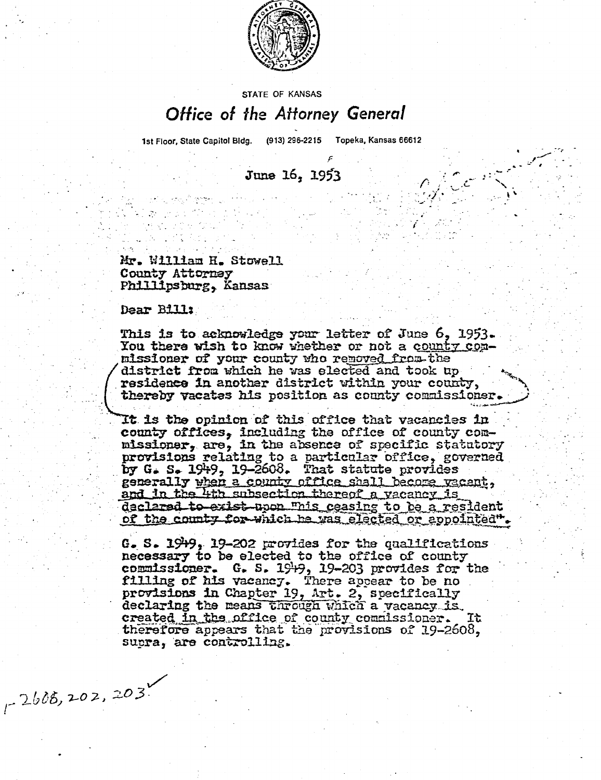

### **STATE OF KANSAS** Office of the Attorney General

1st Floor, State Capitol Bldg. (913) 296-2215 Topeka, Kansas 66612

June 16, 1953

Mr. William H. Stowell County Attorney Phillipsburg, Kansas

Dear Bill:

 $1 - 2605, 202, 203$ 

This is to acknowledge your letter of June  $6, 1953$ . You there wish to know whether or not a county commissioner of your county who removed from the district from which he was elected and took up district from which he was elected and took up<br>residence in another district within your county, thereby vacates his position as county commissioner.

It is the opinion of this office that vacancies in . county offices, including the office of county commissioner, are, in the absence of specific statutory provisions relating to a particular office, governed by G. S. 1949, 19-2608. That statute provides generally when a county office shall become yacant, and in the 4th subsection thereof a vacancy is declared to exist upon "his ceasing to be a resident of the county for which he was elected or appointed".

G. S. 19 $+9$ , 19-202 provides for the qualifications necessary to be elected to the office of county commissioner. G. S. 19+9, 19-203 provides for the filling of his vacancy. There appear to be no provisions in Chapter 19, Art. 2, specifically declaring the means through which a vacancy is. declaring the means through which a vacancy is.<br>created in the office of county commissioner. It therefore appears that the provisions of 19-2608, supra, are controlling.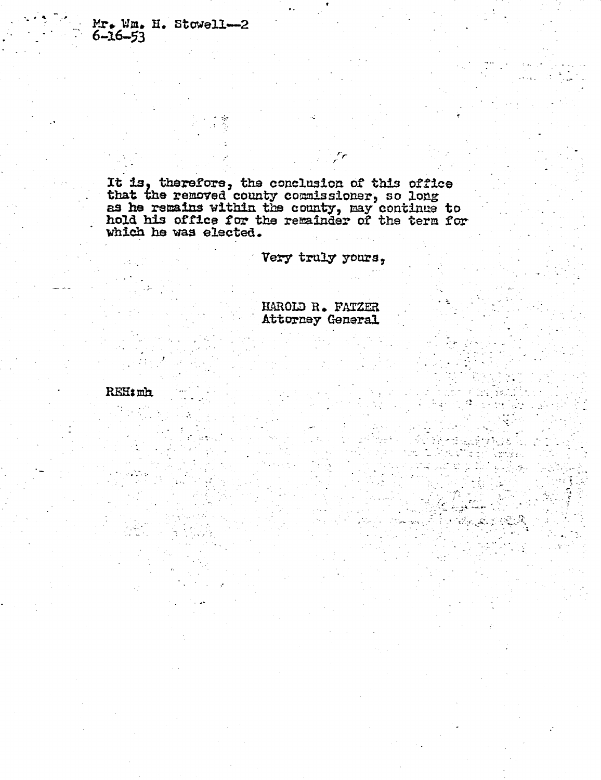Mr. Wm. H. Stowell-2  $6 - 16 - 53$ 

**It is therefore, the conclusion of this office that the removed county commissioner, so long as he remains within the county, nay continue to hold his office for the remainder of the term far which he was elected.** 

**Very truly yours,** 

Fr

HAROLD R. FATZER **Attorney General** 

e San San Angel

REH: mh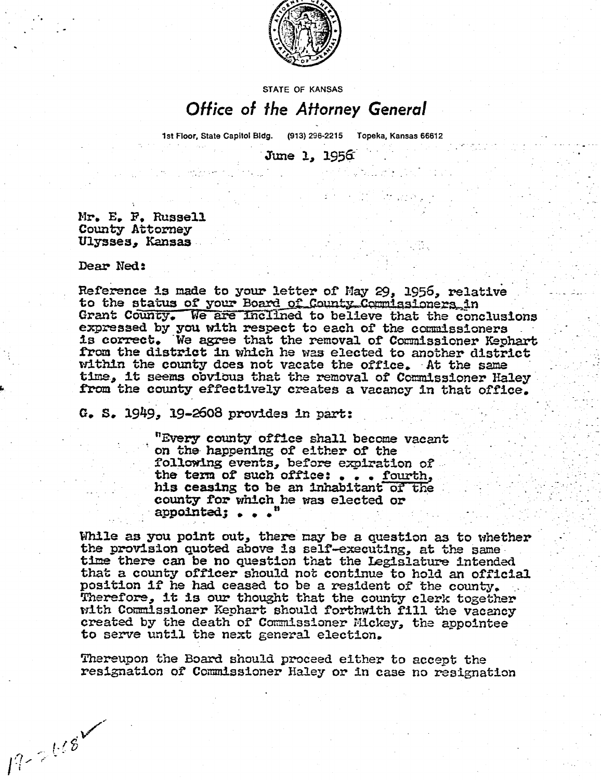

#### **STATE OF KANSAS**

### Office of the Attorney General

1st Floor, State Capitol Bldg. (913) 296-2215 Topeka, Kansas 66612

June 1, 1956

**Mr. E.** F. Russell County Attorney Ulysses, Kansas

#### Dear Ned:

 $19 - 2118$ 

Reference is made to your letter of May 29, 1956, relative to the status of your Board of County-Commissioners, in Grant County. We are inclined to believe that the conclusions expressed by you with respect to each of the commissioners is correct. We agree that the removal of Commissioner Kephart from the district in which he was elected to another district within the county does not vacate the office, -At the same time, it seems obvious that the removal of Commissioner Haley from the county effectively creates **a** vacancy in that office.

G. S. 1949, 29-2608 provides in part:

"Every county office shall become vacant on the happening of either of the following events, before expiration of the term of such office: . . . fourth, his ceasing to be an inhabitant of the **county** for which he **was** elected or **appointed; • • • "** 

**While** as you point out, there maybe a question as to whether the provision quoted above is self-executing, at the same time there can be no question that the Legislature intended that a county officer should not continue to hold an official position if he had ceased to be a resident of the county. Therefore, it is our thought that the county clerk together with Commissioner Kephart should forthwith fill the vacancy created by the death of Commissioner Mickey, the appointee to serve until the next general election.

Thereupon the Board should proceed either to accept the resignation of Commissioner Haley or in case no resignation